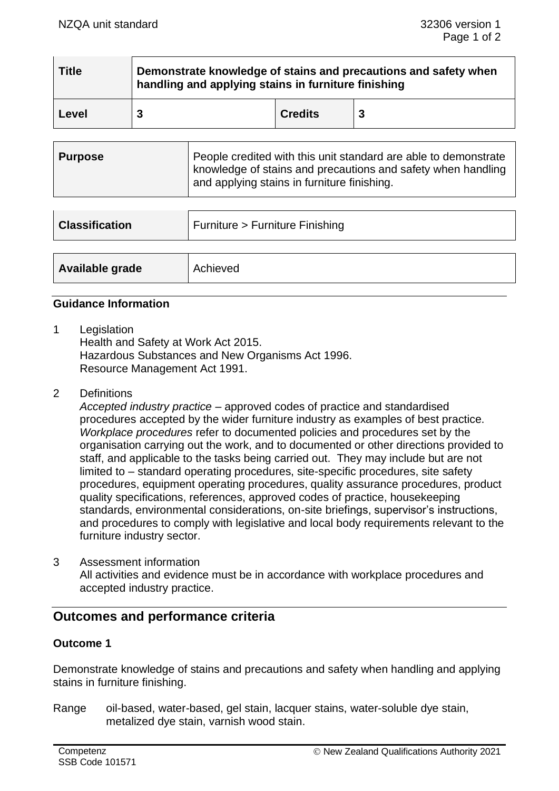| <b>Title</b> | Demonstrate knowledge of stains and precautions and safety when<br>handling and applying stains in furniture finishing |                |   |  |
|--------------|------------------------------------------------------------------------------------------------------------------------|----------------|---|--|
| Level        | 3                                                                                                                      | <b>Credits</b> | 3 |  |

| Purpose | People credited with this unit standard are able to demonstrate<br>  knowledge of stains and precautions and safety when handling<br>and applying stains in furniture finishing. |
|---------|----------------------------------------------------------------------------------------------------------------------------------------------------------------------------------|
|---------|----------------------------------------------------------------------------------------------------------------------------------------------------------------------------------|

| <b>Classification</b> | Furniture > Furniture Finishing |  |
|-----------------------|---------------------------------|--|
|                       |                                 |  |
| Available grade       | Achieved                        |  |

## **Guidance Information**

1 Legislation

Health and Safety at Work Act 2015. Hazardous Substances and New Organisms Act 1996. Resource Management Act 1991.

2 Definitions

*Accepted industry practice* – approved codes of practice and standardised procedures accepted by the wider furniture industry as examples of best practice. *Workplace procedures* refer to documented policies and procedures set by the organisation carrying out the work, and to documented or other directions provided to staff, and applicable to the tasks being carried out. They may include but are not limited to – standard operating procedures, site-specific procedures, site safety procedures, equipment operating procedures, quality assurance procedures, product quality specifications, references, approved codes of practice, housekeeping standards, environmental considerations, on-site briefings, supervisor's instructions, and procedures to comply with legislative and local body requirements relevant to the furniture industry sector.

3 Assessment information All activities and evidence must be in accordance with workplace procedures and accepted industry practice.

# **Outcomes and performance criteria**

## **Outcome 1**

Demonstrate knowledge of stains and precautions and safety when handling and applying stains in furniture finishing.

Range oil-based, water-based, gel stain, lacquer stains, water-soluble dye stain, metalized dye stain, varnish wood stain.